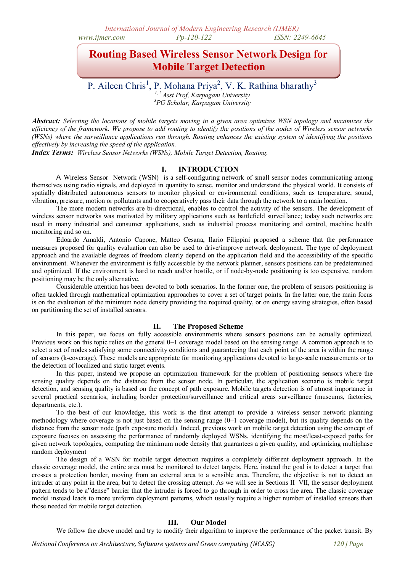# **Routing Based Wireless Sensor Network Design for Mobile Target Detection**

P. Aileen Chris<sup>1</sup>, P. Mohana Priya<sup>2</sup>, V. K. Rathina bharathy<sup>3</sup> *1, 2 Asst Prof, Karpagam University <sup>3</sup>PG Scholar, Karpagam University*

*Abstract: Selecting the locations of mobile targets moving in a given area optimizes WSN topology and maximizes the efficiency of the framework. We propose to add routing to identify the positions of the nodes of Wireless sensor networks (WSNs) where the surveillance applications run through. Routing enhances the existing system of identifying the positions effectively by increasing the speed of the application.*

*Index Terms: Wireless Sensor Networks (WSNs), Mobile Target Detection, Routing.*

# **I. INTRODUCTION**

A Wireless Sensor Network (WSN) is a self-configuring network of small sensor nodes communicating among themselves using radio signals, and deployed in quantity to sense, monitor and understand the physical world. It consists of spatially distributed autonomous sensors to monitor physical or environmental conditions, such as temperature, sound, vibration, pressure, motion or pollutants and to cooperatively pass their data through the network to a main location.

The more modern networks are bi-directional, enables to control the activity of the sensors. The development of wireless sensor networks was motivated by military applications such as battlefield surveillance; today such networks are used in many industrial and consumer applications, such as industrial process monitoring and control, machine health monitoring and so on.

Edoardo Amaldi, Antonio Capone, Matteo Cesana, Ilario Filippini proposed a scheme that the performance measures proposed for quality evaluation can also be used to drive/improve network deployment. The type of deployment approach and the available degrees of freedom clearly depend on the application field and the accessibility of the specific environment. Whenever the environment is fully accessible by the network planner, sensors positions can be predetermined and optimized. If the environment is hard to reach and/or hostile, or if node-by-node positioning is too expensive, random positioning may be the only alternative.

Considerable attention has been devoted to both scenarios. In the former one, the problem of sensors positioning is often tackled through mathematical optimization approaches to cover a set of target points. In the latter one, the main focus is on the evaluation of the minimum node density providing the required quality, or on energy saving strategies, often based on partitioning the set of installed sensors.

# **II. The Proposed Scheme**

In this paper, we focus on fully accessible environments where sensors positions can be actually optimized. Previous work on this topic relies on the general 0–1 coverage model based on the sensing range. A common approach is to select a set of nodes satisfying some connectivity conditions and guaranteeing that each point of the area is within the range of sensors (k-coverage). These models are appropriate for monitoring applications devoted to large-scale measurements or to the detection of localized and static target events.

In this paper, instead we propose an optimization framework for the problem of positioning sensors where the sensing quality depends on the distance from the sensor node. In particular, the application scenario is mobile target detection, and sensing quality is based on the concept of path exposure. Mobile targets detection is of utmost importance in several practical scenarios, including border protection/surveillance and critical areas surveillance (museums, factories, departments, etc.).

To the best of our knowledge, this work is the first attempt to provide a wireless sensor network planning methodology where coverage is not just based on the sensing range (0–1 coverage model), but its quality depends on the distance from the sensor node (path exposure model). Indeed, previous work on mobile target detection using the concept of exposure focuses on assessing the performance of randomly deployed WSNs, identifying the most/least-exposed paths for given network topologies, computing the minimum node density that guarantees a given quality, and optimizing multiphase random deployment

The design of a WSN for mobile target detection requires a completely different deployment approach. In the classic coverage model, the entire area must be monitored to detect targets. Here, instead the goal is to detect a target that crosses a protection border, moving from an external area to a sensible area. Therefore, the objective is not to detect an intruder at any point in the area, but to detect the crossing attempt. As we will see in Sections II–VII, the sensor deployment pattern tends to be a"dense" barrier that the intruder is forced to go through in order to cross the area. The classic coverage model instead leads to more uniform deployment patterns, which usually require a higher number of installed sensors than those needed for mobile target detection.

# **III. Our Model**

We follow the above model and try to modify their algorithm to improve the performance of the packet transit. By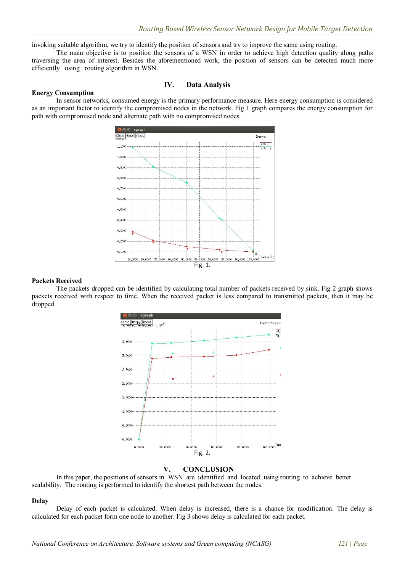invoking suitable algorithm, we try to identify the position of sensors and try to improve the same using routing.

The main objective is to position the sensors of a WSN in order to achieve high detection quality along paths traversing the area of interest. Besides the aforementioned work, the position of sensors can be detected much more efficiently using routing algorithm in WSN.

# **IV. Data Analysis**

# **Energy Consumption**

In sensor networks, consumed energy is the primary performance measure. Here energy consumption is considered as an important factor to identify the compromised nodes in the network. Fig 1 graph compares the energy consumption for path with compromised node and alternate path with no compromised nodes.



# **Packets Received**

The packets dropped can be identified by calculating total number of packets received by sink. Fig 2 graph shows packets received with respect to time. When the received packet is less compared to transmitted packets, then it may be dropped.



# **V. CONCLUSION**

In this paper, the positions of sensors in WSN are identified and located using routing to achieve better scalability. The routing is performed to identify the shortest path between the nodes.

# **Delay**

Delay of each packet is calculated. When delay is increased, there is a chance for modification. The delay is calculated for each packet form one node to another. Fig 3 shows delay is calculated for each packet.